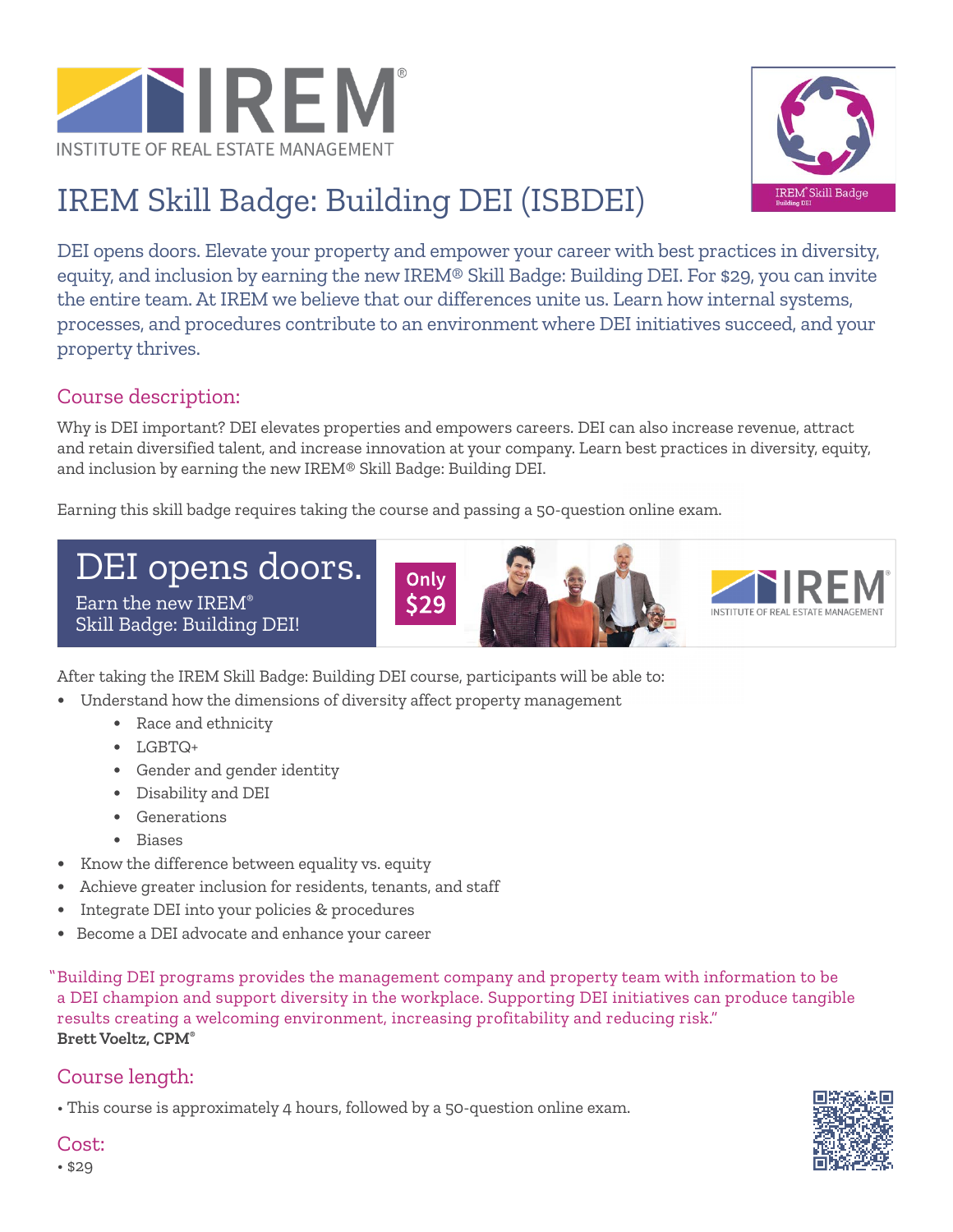



# IREM Skill Badge: Building DEI (ISBDEI)

DEI opens doors. Elevate your property and empower your career with best practices in diversity, equity, and inclusion by earning the new IREM® Skill Badge: Building DEI. For \$29, you can invite the entire team. At IREM we believe that our differences unite us. Learn how internal systems, processes, and procedures contribute to an environment where DEI initiatives succeed, and your property thrives.

# Course description:

Why is DEI important? DEI elevates properties and empowers careers. DEI can also increase revenue, attract and retain diversified talent, and increase innovation at your company. Learn best practices in diversity, equity, and inclusion by earning the new IREM® Skill Badge: Building DEI.

Earning this skill badge requires taking the course and passing a 50-question online exam.

DEI opens doors. Earn the new IREM® Skill Badge: Building DEI!





After taking the IREM Skill Badge: Building DEI course, participants will be able to:

- **•** Understand how the dimensions of diversity affect property management
	- **•** Race and ethnicity
	- **•** LGBTQ+
	- **•** Gender and gender identity
	- **•** Disability and DEI
	- **•** Generations
	- **•** Biases
- **•** Know the difference between equality vs. equity
- **•** Achieve greater inclusion for residents, tenants, and staff
- **•** Integrate DEI into your policies & procedures
- **•** Become a DEI advocate and enhance your career

Building DEI programs provides the management company and property team with information to be "a DEI champion and support diversity in the workplace. Supporting DEI initiatives can produce tangible results creating a welcoming environment, increasing profitability and reducing risk." **Brett Voeltz, CPM®**

# Course length:

• This course is approximately 4 hours, followed by a 50-question online exam.



Cost: